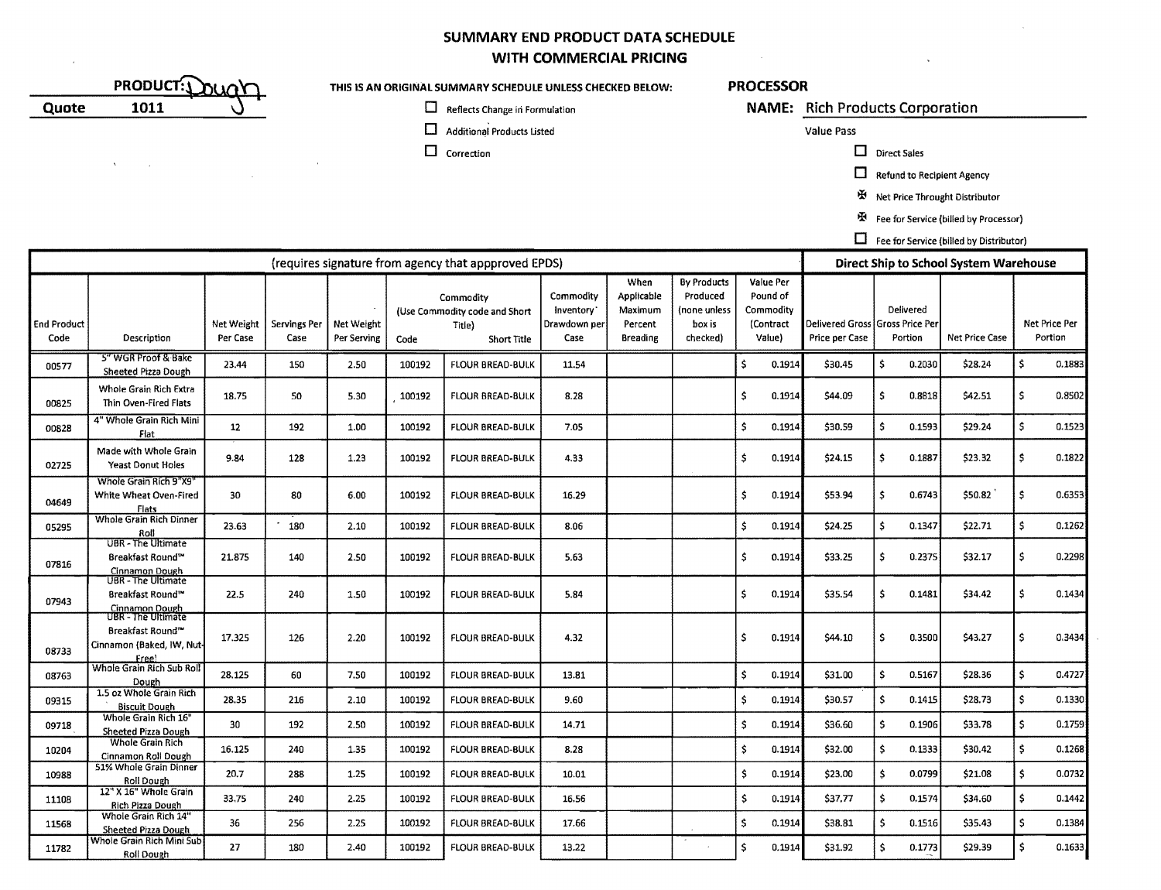### **SUMMARY END PRODUCT DATA SCHEDULE WITH COMMERCIAL PRICING**

|       | <b>PRODUCT:\</b> | ור |
|-------|------------------|----|
| Quote |                  |    |

 $\Delta \phi = \phi_{\rm{max}}$ 

### **THIS IS AN ORIGINAL SUMMARY SCHEDULE UNLESS CHECKED BELOW: PROCESSOR**

- **O Additional Products Listed Additional Products Listed Additional Products Listed Value Pass**
- $\Box$  Correction  $\Box$  Direct Sales

**Quote** o Reflects Change iii Formulation **NAME: Rich Products Corporation** 

 $\Box$  Refund to Recipient Agency

IIi Net Price Throught Distributor

图 Fee for Service (billed by Processor)

 $\Box$  Fee for Service (billed by Distributor)

|                            | (requires signature from agency that appproved EPDS)                                  |                        |                      |                           |        |                                                                                     |       |                                                      |                                                                      | Direct Ship to School System Warehouse                    |                                                   |                      |                       |     |                          |  |  |
|----------------------------|---------------------------------------------------------------------------------------|------------------------|----------------------|---------------------------|--------|-------------------------------------------------------------------------------------|-------|------------------------------------------------------|----------------------------------------------------------------------|-----------------------------------------------------------|---------------------------------------------------|----------------------|-----------------------|-----|--------------------------|--|--|
| <b>End Product</b><br>Code | Description                                                                           | Net Weight<br>Per Case | Servings Per<br>Case | Net Weight<br>Per Serving | Code   | Commodity<br>(Use Commodity code and Short<br>Drawdown per<br>Title)<br>Short Title |       | When<br>Applicable<br>Maximum<br>Percent<br>Breading | <b>By Products</b><br>Produced<br>(none unless<br>box is<br>checked) | Value Per<br>Pound of<br>Commodity<br>(Contract<br>Value) | Delivered Gross Gross Price Per<br>Price per Case | Delivered<br>Portion | <b>Net Price Case</b> |     | Net Price Per<br>Portion |  |  |
| 00577                      | 5" WGR Proof & Bake<br>Sheeted Pizza Dough                                            | 23.44                  | 150                  | 2.50                      | 100192 | <b>FLOUR BREAD-BULK</b>                                                             | 11.54 |                                                      |                                                                      | Ŝ<br>0.1914                                               | -5<br>\$30.45<br>0.2030                           |                      | \$28.24               | Ś.  | 0.1883                   |  |  |
| 00825                      | Whole Grain Rich Extra<br>Thin Oven-Fired Flats                                       | 18.75                  | 50                   | 5.30                      | 100192 | <b>FLOUR BREAD-BULK</b>                                                             | 8.28  |                                                      |                                                                      | ŝ<br>0.1914                                               | \$44.09                                           | -5<br>0.8818         | \$42.51               | \$  | 0.8502                   |  |  |
| 00828                      | 4" Whole Grain Rich Mini<br>Flat                                                      | 12                     | 192                  | 1.00                      | 100192 | <b>FLOUR BREAD-BULK</b>                                                             | 7.05  |                                                      |                                                                      | Ŝ<br>0.1914                                               | \$30.59                                           | \$<br>0.1593         | \$29.24               | \$  | 0.1523                   |  |  |
| 02725                      | Made with Whole Grain<br><b>Yeast Donut Holes</b>                                     | 9.84                   | 128                  | 1.23                      | 100192 | <b>FLOUR BREAD-BULK</b>                                                             | 4.33  |                                                      |                                                                      | \$<br>0.1914                                              | \$24.15                                           | \$<br>0.1887         | \$23.32               | \$  | 0.1822                   |  |  |
| 04649                      | Whole Grain Rich 9"X9"<br>White Wheat Oven-Fired<br>Flats                             | 30                     | 80                   | 6.00                      | 100192 | FLOUR BREAD-BULK                                                                    | 16.29 |                                                      |                                                                      | Ŝ.<br>0.1914                                              | \$53.94                                           | \$<br>0.6743         | \$50.82               | \$  | 0.6353                   |  |  |
| 05295                      | <b>Whole Grain Rich Dinner</b><br>Roll                                                | 23.63                  | 180                  | 2.10                      | 100192 | <b>FLOUR BREAD-BULK</b>                                                             | 8.06  |                                                      |                                                                      | Ś<br>0.1914                                               | \$24.25                                           | Ŝ.<br>0.1347         | \$22.71               | \$  | 0.1262                   |  |  |
| 07816                      | <b>UBR</b> - The Ultimate<br>Breakfast Round™<br>Cinnamon Dough                       | 21.875                 | 140                  | 2.50                      | 100192 | <b>FLOUR BREAD-BULK</b>                                                             | 5.63  |                                                      |                                                                      | \$<br>0.1914                                              | \$33.25                                           | 5<br>0.2375          | \$32.17               | s.  | 0.2298                   |  |  |
| 07943                      | UBR - The Ultimate<br>Breakfast Round™<br><b>Cinnamon Dough</b><br>UBR - The Ultimate | 22.5                   | 240                  | 1.50                      | 100192 | <b>FLOUR BREAD-BULK</b>                                                             | 5.84  |                                                      |                                                                      | Ŝ.<br>0.1914                                              | \$35.54                                           | -S<br>0.1481         | \$34.42               | \$. | 0.1434                   |  |  |
| 08733                      | Breakfast Round <sup>ra</sup><br>Cinnamon (Baked, IW, Nut-<br><b>Free</b>             | 17.325                 | 126                  | 2.20                      | 100192 | <b>FLOUR BREAD-BULK</b>                                                             | 4.32  |                                                      |                                                                      | Ŝ.<br>0.1914                                              | \$44.10                                           | 0.3500<br>-Ŝ         | \$43.27               | Ŝ.  | 0.3434                   |  |  |
| 08763                      | Whole Grain Rich Sub Roll<br>Dough                                                    | 28.125                 | 60                   | 7.50                      | 100192 | <b>FLOUR BREAD-BULK</b>                                                             | 13.81 |                                                      |                                                                      | \$.<br>0.1914                                             | \$31.00                                           | \$.<br>0.5167        | \$28.36               | \$  | 0.4727                   |  |  |
| 09315                      | 1.5 oz Whole Grain Rich<br><b>Biscuit Dough</b>                                       | 28.35                  | 216                  | 2.10                      | 100192 | FLOUR BREAD-BULK                                                                    | 9.60  |                                                      |                                                                      | \$<br>0.1914                                              | \$30.57                                           | Ŝ.<br>0.1415         | \$28.73               | \$. | 0.1330                   |  |  |
| 09718                      | Whole Grain Rich 16"<br><b>Sheeted Pizza Dough</b>                                    | 30                     | 192                  | 2.50                      | 100192 | <b>FLOUR BREAD-BULK</b>                                                             | 14.71 |                                                      |                                                                      | 0.1914<br>s                                               | \$36.60                                           | \$<br>0.1906         | \$33.78               | \$  | 0.1759                   |  |  |
| 10204                      | <b>Whole Grain Rich</b><br>Cinnamon Roll Dough                                        | 16.125                 | 240                  | 1.35                      | 100192 | <b>FLOUR BREAD-BULK</b>                                                             | 8.28  |                                                      |                                                                      | \$<br>0.1914                                              | \$32.00                                           | \$.<br>0.1333        | \$30.42               | \$  | 0.1268                   |  |  |
| 10988                      | 51% Whole Grain Dinner<br>Roll Dough                                                  | 20.7                   | 288                  | 1.25                      | 100192 | <b>FLOUR BREAD-BULK</b>                                                             | 10.01 |                                                      |                                                                      | Ŝ<br>0.1914                                               | \$23.00                                           | \$.<br>0.0799        | \$21.08               | Ś.  | 0.0732                   |  |  |
| 11108                      | 12" X 16" Whole Grain<br>Rich Pizza Dough                                             | 33.75                  | 240                  | 2.25                      | 100192 | <b>FLOUR BREAD-BULK</b>                                                             | 16.56 |                                                      |                                                                      | Ŝ<br>0.1914                                               | \$37.77                                           | Ŝ.<br>0.1574         | \$34.60               | Ŝ.  | 0.1442                   |  |  |
| 11568                      | Whole Grain Rich 14"<br><b>Sheeted Pizza Dough</b>                                    | 36                     | 256                  | 2.25                      | 100192 | <b>FLOUR BREAD-BULK</b>                                                             | 17.66 |                                                      |                                                                      | Ŝ.<br>0.1914                                              | \$38.81                                           | Ŝ<br>0.1516          | \$35.43               | s.  | 0.1384                   |  |  |
| 11782                      | Whole Grain Rich Mini Sub <br><b>Roll Dough</b>                                       | 27                     | 180                  | 2.40                      | 100192 | <b>FLOUR BREAD-BULK</b>                                                             | 13.22 |                                                      |                                                                      | \$.<br>0.1914                                             | \$31.92                                           | Ŝ.<br>0.1773         | \$29.39               | \$. | 0.1633                   |  |  |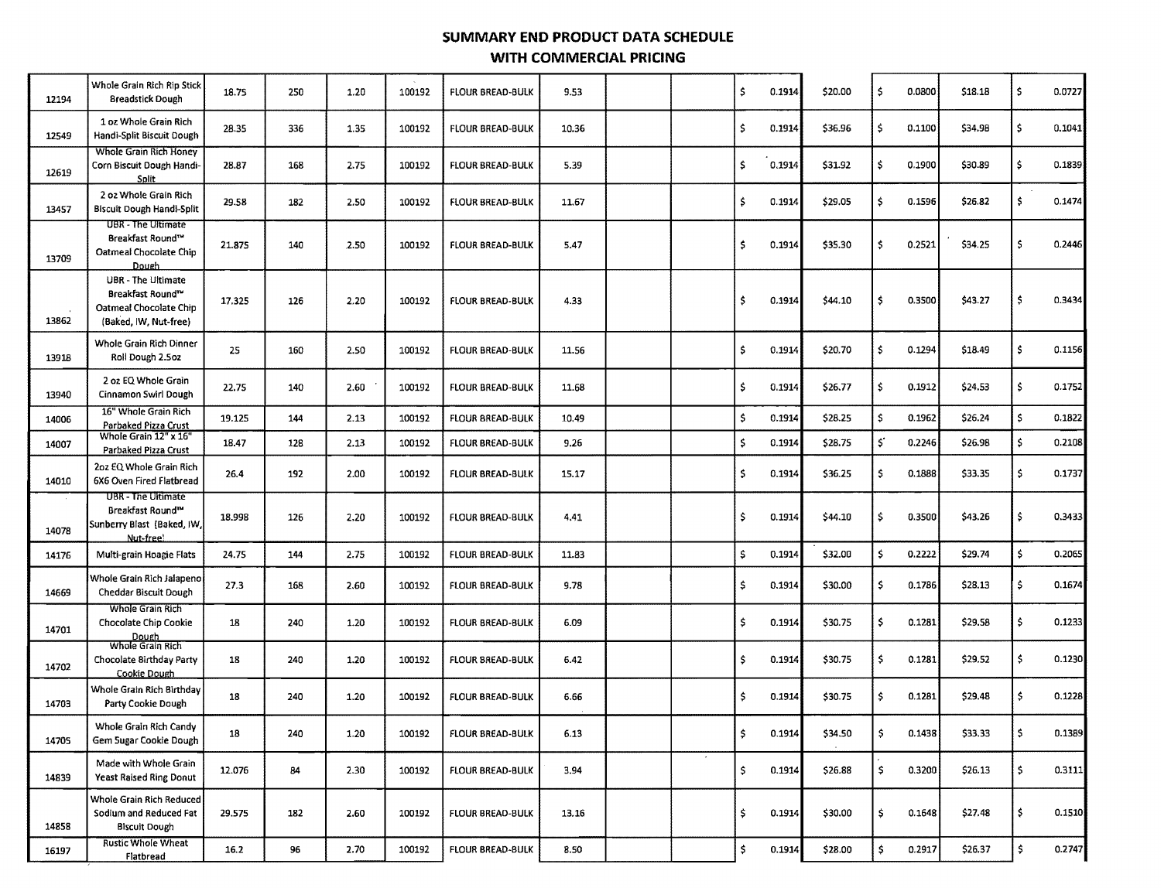# **SUMMARY END PRODUCT DATA SCHEDULE WITH COMMERCIAL PRICING**

| 12194 | Whole Grain Rich Rip Stick<br><b>Breadstick Dough</b>                                     | 18.75  | 250 | 1.20 | 100192 | <b>FLOUR BREAD-BULK</b> | 9.53  |  | \$                   | 0.1914 | \$20.00 | \$                 | 0.0800 | \$18.18 | \$           | 0.0727 |
|-------|-------------------------------------------------------------------------------------------|--------|-----|------|--------|-------------------------|-------|--|----------------------|--------|---------|--------------------|--------|---------|--------------|--------|
| 12549 | 1 oz Whole Grain Rich<br>Handi-Split Biscuit Dough                                        | 28.35  | 336 | 1.35 | 100192 | <b>FLOUR BREAD-BULK</b> | 10.36 |  | \$                   | 0.1914 | \$36.96 | \$                 | 0.1100 | \$34.98 | \$           | 0.1041 |
| 12619 | Whole Grain Rich Honey<br>Corn Biscuit Dough Handi-<br><b>Split</b>                       | 28.87  | 168 | 2.75 | 100192 | <b>FLOUR BREAD-BULK</b> | 5.39  |  | s.                   | 0.1914 | \$31.92 | \$                 | 0.1900 | \$30.89 | \$           | 0.1839 |
| 13457 | 2 oz Whole Grain Rich<br><b>Biscuit Dough Handi-Split</b>                                 | 29.58  | 182 | 2.50 | 100192 | FLOUR BREAD-BULK        | 11.67 |  | \$                   | 0.1914 | \$29.05 | \$                 | 0.1596 | \$26.82 | \$.          | 0.1474 |
| 13709 | UBR - The Ultimate<br>Breakfast Round <sup>14</sup><br>Oatmeal Chocolate Chip<br>Dough    | 21.875 | 140 | 2.50 | 100192 | <b>FLOUR BREAD-BULK</b> | 5.47  |  | Ś                    | 0.1914 | \$35.30 | \$                 | 0.2521 | \$34.25 | \$           | 0.2446 |
| 13862 | UBR - The Ultimate<br>Breakfast Round™<br>Oatmeal Chocolate Chip<br>(Baked, IW, Nut-free) | 17.325 | 126 | 2.20 | 100192 | FLOUR BREAD-BULK        | 4.33  |  | Ŝ                    | 0.1914 | \$44.10 | \$.                | 0.3500 | \$43.27 | \$           | 0.3434 |
| 13918 | Whole Grain Rich Dinner<br>Roll Dough 2.5oz                                               | 25     | 160 | 2.50 | 100192 | FLOUR BREAD-BULK        | 11.56 |  | s.                   | 0.1914 | \$20.70 | \$                 | 0.1294 | \$18.49 | \$           | 0.1156 |
| 13940 | 2 oz EQ Whole Grain<br>Cinnamon Swirl Dough                                               | 22.75  | 140 | 2.60 | 100192 | <b>FLOUR BREAD-BULK</b> | 11.68 |  | $\mathsf{S}$         | 0.1914 | \$26.77 | \$                 | 0.1912 | \$24.53 | \$           | 0.1752 |
| 14006 | 16" Whole Grain Rich<br><b>Parbaked Pizza Crust</b>                                       | 19.125 | 144 | 2.13 | 100192 | <b>FLOUR BREAD-BULK</b> | 10.49 |  | $\ddot{\bullet}$     | 0.1914 | \$28.25 | \$                 | 0.1962 | \$26.24 | $\mathsf{S}$ | 0.1822 |
| 14007 | Whole Grain 12" x 16"<br>Parbaked Pizza Crust                                             | 18.47  | 128 | 2.13 | 100192 | <b>FLOUR BREAD-BULK</b> | 9.26  |  | \$                   | 0.1914 | \$28.75 | 5                  | 0.2246 | \$26.98 | \$           | 0.2108 |
| 14010 | 2oz EQ Whole Grain Rich<br>6X6 Oven Fired Flatbread                                       | 26.4   | 192 | 2.00 | 100192 | FLOUR BREAD-BULK        | 15.17 |  | \$                   | 0.1914 | \$36.25 | \$                 | 0.1888 | \$33.35 | \$.          | 0.1737 |
| 14078 | <b>UBR - The Ultimate</b><br>Breakfast Round™<br>Sunberry Blast (Baked, IW,<br>Nut-free   | 18.998 | 126 | 2.20 | 100192 | <b>FLOUR BREAD-BULK</b> | 4.41  |  | \$                   | 0.1914 | \$44.10 | \$                 | 0.3500 | \$43.26 | \$           | 0.3433 |
| 14176 | Multi-grain Hoagie Flats                                                                  | 24.75  | 144 | 2.75 | 100192 | <b>FLOUR BREAD-BULK</b> | 11.83 |  | $\mathsf{S}$         | 0.1914 | \$32.00 | \$                 | 0.2222 | \$29.74 | $\mathsf{S}$ | 0.2065 |
| 14669 | Whole Grain Rich Jalapeno<br>Cheddar Biscult Dough                                        | 27.3   | 168 | 2.60 | 100192 | FLOUR BREAD-BULK        | 9.78  |  | \$                   | 0.1914 | \$30.00 | \$.                | 0.1786 | \$28.13 | \$           | 0.1674 |
| 14701 | Whole Grain Rich<br>Chocolate Chip Cookie<br>Dough                                        | 18     | 240 | 1.20 | 100192 | FLOUR BREAD-BULK        | 6.09  |  | \$                   | 0.1914 | \$30.75 | \$.                | 0.1281 | \$29.58 | \$           | 0.1233 |
| 14702 | Whole Grain Rich<br>Chocolate Birthday Party<br>Cookie Dough                              | 18     | 240 | 1.20 | 100192 | <b>FLOUR BREAD-BULK</b> | 6.42  |  | \$.                  | 0.1914 | \$30.75 | \$                 | 0.1281 | \$29.52 | \$           | 0.1230 |
| 14703 | Whole Grain Rich Birthday<br>Party Cookie Dough                                           | 18     | 240 | 1.20 | 100192 | <b>FLOUR BREAD-BULK</b> | 6.66  |  | Ś.                   | 0.1914 | \$30.75 | Ŝ.                 | 0.1281 | \$29.48 | \$           | 0.1228 |
| 14705 | Whole Grain Rich Candy<br>Gem Sugar Cookie Dough                                          | 18     | 240 | 1.20 | 100192 | FLOUR BREAD-BULK        | 6.13  |  | $\ddot{\phantom{1}}$ | 0.1914 | \$34.50 | -\$                | 0.1438 | \$33.33 | S.           | 0.1389 |
| 14839 | Made with Whole Grain<br><b>Yeast Raised Ring Donut</b>                                   | 12.076 | 84  | 2.30 | 100192 | <b>FLOUR BREAD-BULK</b> | 3.94  |  | \$                   | 0.1914 | \$26.88 | $\hat{\mathbf{z}}$ | 0.3200 | \$26.13 | \$.          | 0.3111 |
| 14858 | Whole Grain Rich Reduced<br>Sodium and Reduced Fat<br><b>Biscuit Dough</b>                | 29.575 | 182 | 2.60 | 100192 | <b>FLOUR BREAD-BULK</b> | 13.16 |  | \$                   | 0.1914 | \$30.00 | $\mathsf{S}$       | 0.1648 | \$27.48 | \$           | 0.1510 |
| 16197 | <b>Rustic Whole Wheat</b><br>Flatbread                                                    | 16.2   | 96  | 2.70 | 100192 | FLOUR BREAD-BULK        | 8.50  |  | \$                   | 0.1914 | \$28.00 | \$                 | 0.2917 | \$26.37 | \$           | 0.2747 |